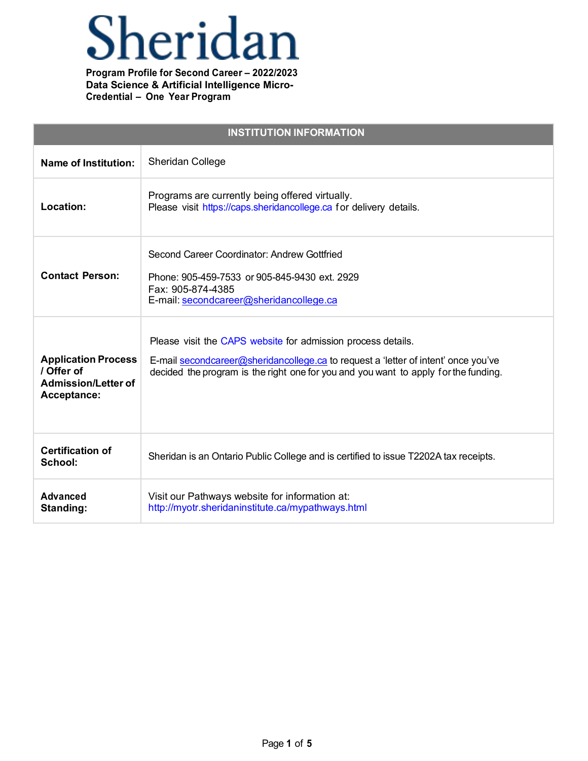# Sheridan

| <b>INSTITUTION INFORMATION</b>                                                 |                                                                                                                                                                                                                                           |  |
|--------------------------------------------------------------------------------|-------------------------------------------------------------------------------------------------------------------------------------------------------------------------------------------------------------------------------------------|--|
| <b>Name of Institution:</b>                                                    | <b>Sheridan College</b>                                                                                                                                                                                                                   |  |
| Location:                                                                      | Programs are currently being offered virtually.<br>Please visit https://caps.sheridancollege.ca for delivery details.                                                                                                                     |  |
| <b>Contact Person:</b>                                                         | Second Career Coordinator: Andrew Gottfried<br>Phone: 905-459-7533 or 905-845-9430 ext. 2929<br>Fax: 905-874-4385<br>E-mail: secondcareer@sheridancollege.ca                                                                              |  |
| <b>Application Process</b><br>/ Offer of<br>Admission/Letter of<br>Acceptance: | Please visit the CAPS website for admission process details.<br>E-mail secondcareer@sheridancollege.ca to request a 'letter of intent' once you've<br>decided the program is the right one for you and you want to apply for the funding. |  |
| <b>Certification of</b><br>School:                                             | Sheridan is an Ontario Public College and is certified to issue T2202A tax receipts.                                                                                                                                                      |  |
| <b>Advanced</b><br>Standing:                                                   | Visit our Pathways website for information at:<br>http://myotr.sheridaninstitute.ca/mypathways.html                                                                                                                                       |  |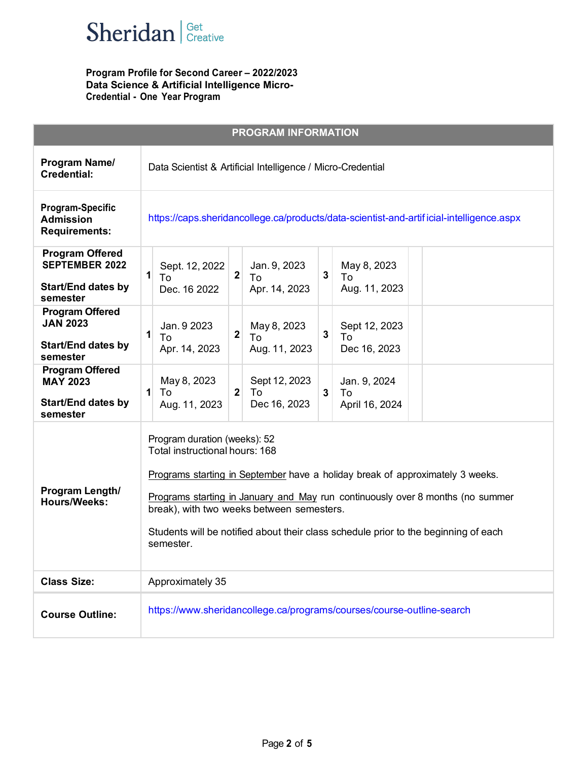

|                                                                                          | <b>PROGRAM INFORMATION</b>                                                                                                                                                                                                                                                                                                                                                         |
|------------------------------------------------------------------------------------------|------------------------------------------------------------------------------------------------------------------------------------------------------------------------------------------------------------------------------------------------------------------------------------------------------------------------------------------------------------------------------------|
| Program Name/<br><b>Credential:</b>                                                      | Data Scientist & Artificial Intelligence / Micro-Credential                                                                                                                                                                                                                                                                                                                        |
| <b>Program-Specific</b><br><b>Admission</b><br><b>Requirements:</b>                      | https://caps.sheridancollege.ca/products/data-scientist-and-artificial-intelligence.aspx                                                                                                                                                                                                                                                                                           |
| <b>Program Offered</b><br><b>SEPTEMBER 2022</b><br><b>Start/End dates by</b><br>semester | May 8, 2023<br>Sept. 12, 2022<br>Jan. 9, 2023<br>$\overline{2}$<br>1<br>3<br>To<br>To<br>To<br>Apr. 14, 2023<br>Aug. 11, 2023<br>Dec. 16 2022                                                                                                                                                                                                                                      |
| <b>Program Offered</b><br><b>JAN 2023</b><br><b>Start/End dates by</b><br>semester       | Jan. 9 2023<br>May 8, 2023<br>Sept 12, 2023<br>1<br>$\overline{\mathbf{3}}$<br>$\mathbf{2}$<br>To<br>To<br>To<br>Dec 16, 2023<br>Apr. 14, 2023<br>Aug. 11, 2023                                                                                                                                                                                                                    |
| <b>Program Offered</b><br><b>MAY 2023</b><br><b>Start/End dates by</b><br>semester       | May 8, 2023<br>Sept 12, 2023<br>Jan. 9, 2024<br>1<br>To<br>$\mathbf{2}$<br>$\mathbf{3}$<br>To<br>To<br>Dec 16, 2023<br>Aug. 11, 2023<br>April 16, 2024                                                                                                                                                                                                                             |
| Program Length/<br><b>Hours/Weeks:</b>                                                   | Program duration (weeks): 52<br>Total instructional hours: 168<br>Programs starting in September have a holiday break of approximately 3 weeks.<br>Programs starting in January and May run continuously over 8 months (no summer<br>break), with two weeks between semesters.<br>Students will be notified about their class schedule prior to the beginning of each<br>semester. |
| <b>Class Size:</b>                                                                       | Approximately 35                                                                                                                                                                                                                                                                                                                                                                   |
| <b>Course Outline:</b>                                                                   | https://www.sheridancollege.ca/programs/courses/course-outline-search                                                                                                                                                                                                                                                                                                              |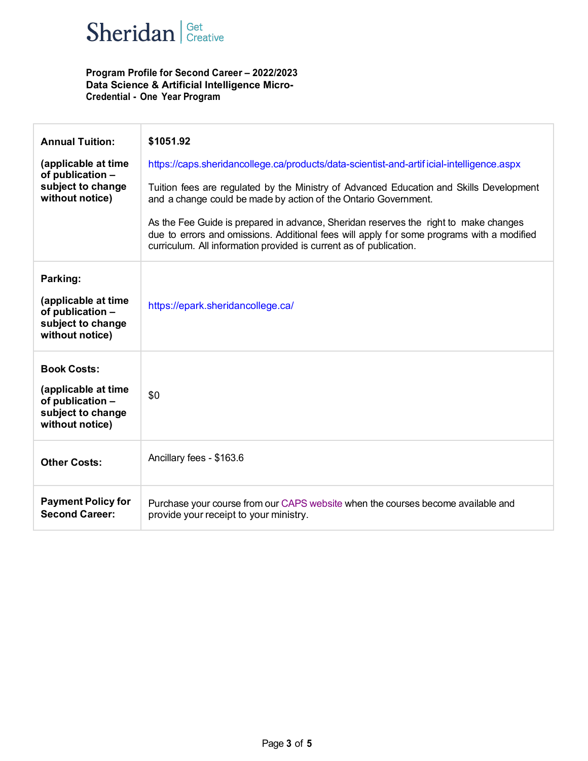

| <b>Annual Tuition:</b><br>(applicable at time<br>of publication -<br>subject to change<br>without notice) | \$1051.92<br>https://caps.sheridancollege.ca/products/data-scientist-and-artificial-intelligence.aspx<br>Tuition fees are regulated by the Ministry of Advanced Education and Skills Development<br>and a change could be made by action of the Ontario Government.<br>As the Fee Guide is prepared in advance, Sheridan reserves the right to make changes<br>due to errors and omissions. Additional fees will apply for some programs with a modified<br>curriculum. All information provided is current as of publication. |
|-----------------------------------------------------------------------------------------------------------|--------------------------------------------------------------------------------------------------------------------------------------------------------------------------------------------------------------------------------------------------------------------------------------------------------------------------------------------------------------------------------------------------------------------------------------------------------------------------------------------------------------------------------|
| Parking:<br>(applicable at time<br>of publication -<br>subject to change<br>without notice)               | https://epark.sheridancollege.ca/                                                                                                                                                                                                                                                                                                                                                                                                                                                                                              |
| <b>Book Costs:</b><br>(applicable at time<br>of publication -<br>subject to change<br>without notice)     | \$0                                                                                                                                                                                                                                                                                                                                                                                                                                                                                                                            |
| <b>Other Costs:</b>                                                                                       | Ancillary fees - \$163.6                                                                                                                                                                                                                                                                                                                                                                                                                                                                                                       |
| <b>Payment Policy for</b><br><b>Second Career:</b>                                                        | Purchase your course from our CAPS website when the courses become available and<br>provide your receipt to your ministry.                                                                                                                                                                                                                                                                                                                                                                                                     |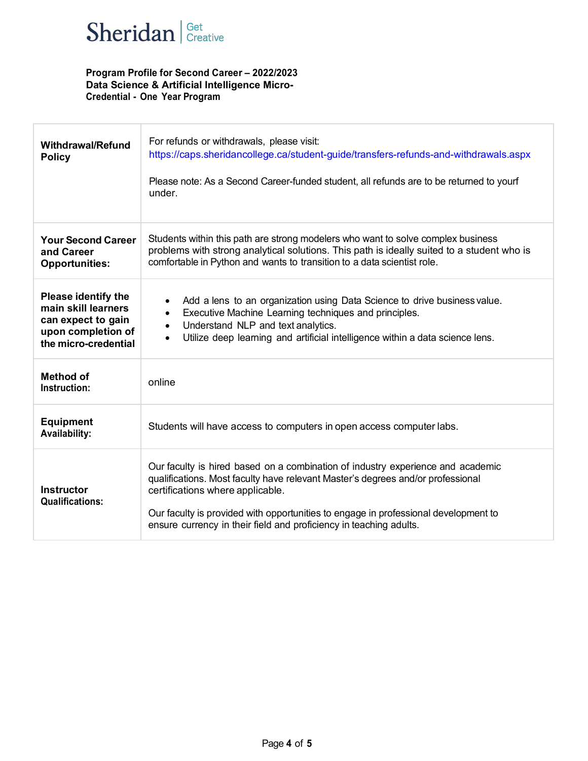

| <b>Withdrawal/Refund</b><br><b>Policy</b>                                                                      | For refunds or withdrawals, please visit:<br>https://caps.sheridancollege.ca/student-guide/transfers-refunds-and-withdrawals.aspx<br>Please note: As a Second Career-funded student, all refunds are to be returned to yourf<br>under.                                                                                                                              |
|----------------------------------------------------------------------------------------------------------------|---------------------------------------------------------------------------------------------------------------------------------------------------------------------------------------------------------------------------------------------------------------------------------------------------------------------------------------------------------------------|
| <b>Your Second Career</b><br>and Career<br><b>Opportunities:</b>                                               | Students within this path are strong modelers who want to solve complex business<br>problems with strong analytical solutions. This path is ideally suited to a student who is<br>comfortable in Python and wants to transition to a data scientist role.                                                                                                           |
| Please identify the<br>main skill learners<br>can expect to gain<br>upon completion of<br>the micro-credential | Add a lens to an organization using Data Science to drive business value.<br>$\bullet$<br>Executive Machine Learning techniques and principles.<br>$\bullet$<br>Understand NLP and text analytics.<br>$\bullet$<br>Utilize deep learning and artificial intelligence within a data science lens.<br>$\bullet$                                                       |
| <b>Method of</b><br>Instruction:                                                                               | online                                                                                                                                                                                                                                                                                                                                                              |
| <b>Equipment</b><br><b>Availability:</b>                                                                       | Students will have access to computers in open access computer labs.                                                                                                                                                                                                                                                                                                |
| <b>Instructor</b><br><b>Qualifications:</b>                                                                    | Our faculty is hired based on a combination of industry experience and academic<br>qualifications. Most faculty have relevant Master's degrees and/or professional<br>certifications where applicable.<br>Our faculty is provided with opportunities to engage in professional development to<br>ensure currency in their field and proficiency in teaching adults. |